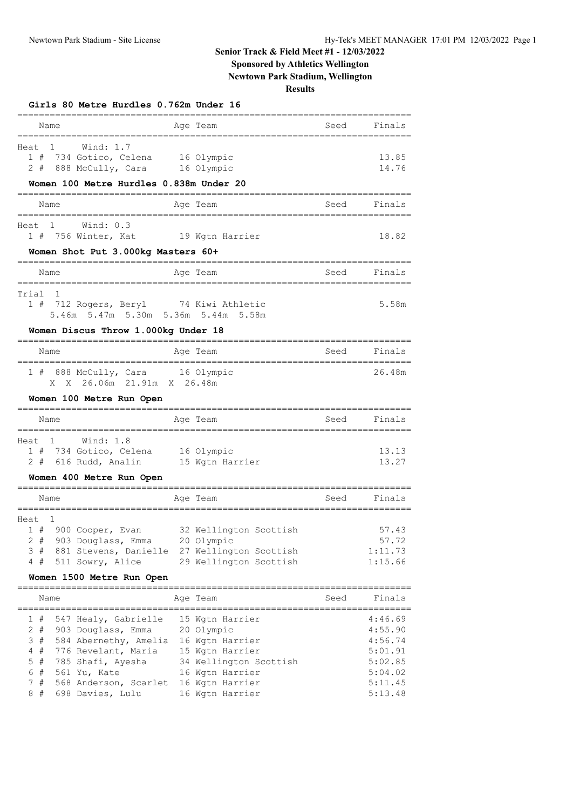## **Senior Track & Field Meet #1 - 12/03/2022**

# **Sponsored by Athletics Wellington**

**Newtown Park Stadium, Wellington**

### **Results**

| Girls 80 Metre Hurdles 0.762m Under 16                                                                                                                                                              | ______________                                                                                                                                                   |      |                                                                                      |
|-----------------------------------------------------------------------------------------------------------------------------------------------------------------------------------------------------|------------------------------------------------------------------------------------------------------------------------------------------------------------------|------|--------------------------------------------------------------------------------------|
| Name                                                                                                                                                                                                | Age Team                                                                                                                                                         | Seed | Finals                                                                               |
| Wind: $1.7$<br>Heat<br>1<br>1#<br>734 Gotico, Celena<br>2 # 888 McCully, Cara 16 Olympic                                                                                                            | 16 Olympic                                                                                                                                                       |      | 13.85<br>14.76                                                                       |
| Women 100 Metre Hurdles 0.838m Under 20                                                                                                                                                             |                                                                                                                                                                  |      |                                                                                      |
| Name                                                                                                                                                                                                | Age Team                                                                                                                                                         | Seed | Finals                                                                               |
| 1 Wind: 0.3<br>Heat<br>1 # 756 Winter, Kat<br>Women Shot Put 3.000kg Masters 60+                                                                                                                    | 19 Wgtn Harrier                                                                                                                                                  |      | 18.82                                                                                |
| Name                                                                                                                                                                                                | Age Team                                                                                                                                                         | Seed | Finals                                                                               |
| ==========<br>Trial<br>1<br>1#<br>5.46m 5.47m 5.30m 5.36m 5.44m<br>Women Discus Throw 1.000kg Under 18                                                                                              | 712 Rogers, Beryl 74 Kiwi Athletic<br>5.58m                                                                                                                      |      | 5.58m                                                                                |
| Name                                                                                                                                                                                                | Age Team                                                                                                                                                         | Seed | Finals                                                                               |
| 888 McCully, Cara<br>1#<br>X X 26.06m 21.91m X 26.48m<br>Women 100 Metre Run Open                                                                                                                   | 16 Olympic                                                                                                                                                       |      | 26.48m                                                                               |
| , ____________________<br>Name                                                                                                                                                                      | Age Team                                                                                                                                                         | Seed | Finals                                                                               |
| Wind: 1.8<br>Heat<br>1<br>1#<br>734 Gotico, Celena 16 Olympic<br>616 Rudd, Analin<br>2#<br>Women 400 Metre Run Open                                                                                 | 15 Wgtn Harrier                                                                                                                                                  |      | 13.13<br>13.27                                                                       |
| Name                                                                                                                                                                                                | Age Team                                                                                                                                                         | Seed | Finals                                                                               |
| Heat <sub>1</sub><br>1 # 900 Cooper, Evan<br>2 # 903 Douglass, Emma 20 Olympic<br>4 # 511 Sowry, Alice<br>Women 1500 Metre Run Open                                                                 | 32 Wellington Scottish<br>3 # 881 Stevens, Danielle 27 Wellington Scottish<br>29 Wellington Scottish                                                             |      | 57.43<br>57.72<br>1:11.73<br>1:15.66                                                 |
| Name                                                                                                                                                                                                | Age Team                                                                                                                                                         | Seed | Finals                                                                               |
| 1 #<br>2 # 903 Douglass, Emma 20 Olympic<br>3 # 584 Abernethy, Amelia 16 Wgtn Harrier<br>4#<br>776 Revelant, Maria<br>5#<br>785 Shafi, Ayesha<br>6#<br>561 Yu, Kate<br>7#<br>8#<br>698 Davies, Lulu | 547 Healy, Gabrielle 15 Wgtn Harrier<br>15 Wgtn Harrier<br>34 Wellington Scottish<br>16 Wgtn Harrier<br>568 Anderson, Scarlet 16 Wgtn Harrier<br>16 Wgtn Harrier |      | 4:46.69<br>4:55.90<br>4:56.74<br>5:01.91<br>5:02.85<br>5:04.02<br>5:11.45<br>5:13.48 |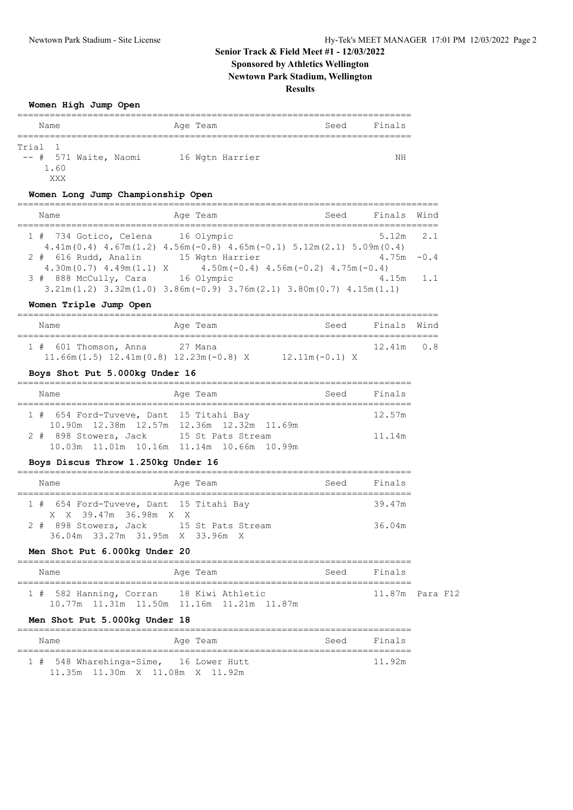## **Senior Track & Field Meet #1 - 12/03/2022 Sponsored by Athletics Wellington Newtown Park Stadium, Wellington**

### **Results**

#### **Women High Jump Open**

| Name    |                         | Age Team |                 | Seed | Finals |
|---------|-------------------------|----------|-----------------|------|--------|
|         |                         |          |                 |      |        |
| Trial 1 |                         |          |                 |      |        |
|         | $--$ # 571 Waite, Naomi |          | 16 Wgtn Harrier |      | NΗ     |
|         | 1.60                    |          |                 |      |        |
|         | XXX                     |          |                 |      |        |

### **Women Long Jump Championship Open**

| Name                                                | Age Team                                                                                                                               | Finals Wind<br>Seed |  |
|-----------------------------------------------------|----------------------------------------------------------------------------------------------------------------------------------------|---------------------|--|
| 1 # 734 Gotico, Celena 16 Olympic                   | $4.41m(0.4)$ $4.67m(1.2)$ $4.56m(-0.8)$ $4.65m(-0.1)$ $5.12m(2.1)$ $5.09m(0.4)$                                                        | $5.12m$ 2.1         |  |
| 2 # 616 Rudd, Analin<br>$4.30m(0.7)$ $4.49m(1.1)$ X | 15 Wgtn Harrier<br>$4.50m(-0.4)$ $4.56m(-0.2)$ $4.75m(-0.4)$                                                                           | $4.75m - 0.4$       |  |
| 3 # 888 McCully, Cara                               | 16 Olympic<br>$3.21\text{m}(1.2)$ $3.32\text{m}(1.0)$ $3.86\text{m}(-0.9)$ $3.76\text{m}(2.1)$ $3.80\text{m}(0.7)$ $4.15\text{m}(1.1)$ | $4.15m$ 1.1         |  |

#### **Women Triple Jump Open**

| Name                                         | Age Team | Seed             | Finals Wind  |  |
|----------------------------------------------|----------|------------------|--------------|--|
| $1# 601$ Thomson, Anna                       | 27 Mana  |                  | $12.41m$ 0.8 |  |
| $11.66m(1.5)$ $12.41m(0.8)$ $12.23m(-0.8)$ X |          | $12.11m(-0.1)$ X |              |  |

#### **Boys Shot Put 5.000kg Under 16**

|  | Name                                    | Seed<br>Age Team                          | Finals |
|--|-----------------------------------------|-------------------------------------------|--------|
|  | 1 # 654 Ford-Tuveve, Dant 15 Titahi Bay |                                           | 12.57m |
|  |                                         | 10.90m 12.38m 12.57m 12.36m 12.32m 11.69m |        |
|  | 2 # 898 Stowers, Jack 15 St Pats Stream |                                           | 11.14m |
|  |                                         | 10.03m 11.01m 10.16m 11.14m 10.66m 10.99m |        |

#### **Boys Discus Throw 1.250kg Under 16**

| Name                                                                       | Age Team | Seed | Finals |
|----------------------------------------------------------------------------|----------|------|--------|
| 1 # 654 Ford-Tuveve, Dant 15 Titahi Bay<br>X X 39.47m 36.98m X X           |          |      | 39.47m |
| 2 # 898 Stowers, Jack 15 St Pats Stream<br>36.04m 33.27m 31.95m X 33.96m X |          |      | 36.04m |

#### **Men Shot Put 6.000kg Under 20**

| Name                                     | Age Team                                  | Seed Finals      |
|------------------------------------------|-------------------------------------------|------------------|
| 1 # 582 Hanning, Corran 18 Kiwi Athletic |                                           | 11.87m  Para F12 |
|                                          | 10.77m 11.31m 11.50m 11.16m 11.21m 11.87m |                  |

#### **Men Shot Put 5.000kg Under 18**

| Name                                   |                                 |  | Age Team |  | Seed | Finals |
|----------------------------------------|---------------------------------|--|----------|--|------|--------|
| 1 # 548 Wharehinga-Sime, 16 Lower Hutt |                                 |  |          |  |      | 11.92m |
|                                        | 11.35m 11.30m X 11.08m X 11.92m |  |          |  |      |        |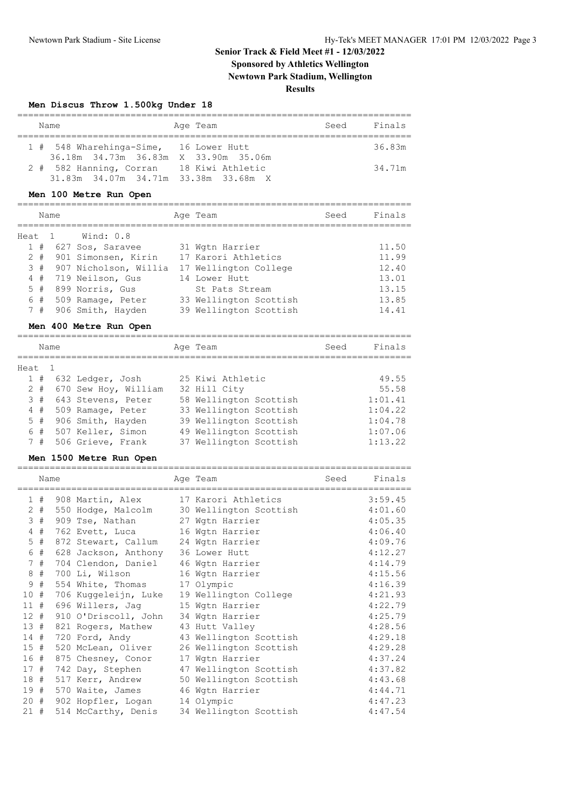### **Senior Track & Field Meet #1 - 12/03/2022 Sponsored by Athletics Wellington Newtown Park Stadium, Wellington**

#### **Results**

#### **Men Discus Throw 1.500kg Under 18**

|  | Name                                                                             | Age Team | Seed | Finals |
|--|----------------------------------------------------------------------------------|----------|------|--------|
|  | 1 # 548 Wharehinga-Sime, 16 Lower Hutt<br>36.18m 34.73m 36.83m X 33.90m 35.06m   |          |      | 36.83m |
|  | 2 # 582 Hanning, Corran 18 Kiwi Athletic<br>31.83m 34.07m 34.71m 33.38m 33.68m X |          |      | 34.71m |

#### **Men 100 Metre Run Open**

|        |       | Name |                       | Age Team               | Seed | Finals |
|--------|-------|------|-----------------------|------------------------|------|--------|
| Heat 1 |       |      | Wind: 0.8             |                        |      |        |
|        | 1#    |      | 627 Sos, Saravee      | 31 Wgtn Harrier        |      | 11.50  |
|        | $2 +$ |      | 901 Simonsen, Kirin   | 17 Karori Athletics    |      | 11.99  |
|        | 3#    |      | 907 Nicholson, Willia | 17 Wellington College  |      | 12.40  |
|        | 4#    |      | 719 Neilson, Gus      | 14 Lower Hutt          |      | 13.01  |
|        | 5#    |      | 899 Norris, Gus       | St Pats Stream         |      | 13.15  |
|        | 6 #   |      | 509 Ramage, Peter     | 33 Wellington Scottish |      | 13.85  |
|        | 7#    |      | 906 Smith, Hayden     | 39 Wellington Scottish |      | 14.41  |

#### **Men 400 Metre Run Open**

|       |        | Name |                      | Age Team               | Seed | Finals  |
|-------|--------|------|----------------------|------------------------|------|---------|
| Heat. |        |      |                      |                        |      |         |
|       | 1#     |      | 632 Ledger, Josh     | 25 Kiwi Athletic       |      | 49.55   |
|       | $2 +$  |      | 670 Sew Hoy, William | 32 Hill City           |      | 55.58   |
|       | $3 \#$ |      | 643 Stevens, Peter   | 58 Wellington Scottish |      | 1:01.41 |
|       | 4#     |      | 509 Ramage, Peter    | 33 Wellington Scottish |      | 1:04.22 |
|       | $5 +$  |      | 906 Smith, Hayden    | 39 Wellington Scottish |      | 1:04.78 |
|       | 6 #    |      | 507 Keller, Simon    | 49 Wellington Scottish |      | 1:07.06 |
|       | 7#     |      | 506 Grieve, Frank    | 37 Wellington Scottish |      | 1:13.22 |

#### **Men 1500 Metre Run Open**

|        | Name  | ==============================      | Age Team<br>=============================== | Seed | Finals  |
|--------|-------|-------------------------------------|---------------------------------------------|------|---------|
|        | 1#    | 908 Martin, Alex                    | 17 Karori Athletics                         |      | 3:59.45 |
|        | $2 +$ |                                     | 550 Hodge, Malcolm 30 Wellington Scottish   |      | 4:01.60 |
|        | 3#    | 909 Tse, Nathan 27 Wgtn Harrier     |                                             |      | 4:05.35 |
|        | $4$ # | 762 Evett, Luca                     | 16 Wgtn Harrier                             |      | 4:06.40 |
|        | 5 #   | 872 Stewart, Callum 24 Wgtn Harrier |                                             |      | 4:09.76 |
|        | 6 #   | 628 Jackson, Anthony                | 36 Lower Hutt                               |      | 4:12.27 |
|        | 7#    | 704 Clendon, Daniel                 | 46 Wgtn Harrier                             |      | 4:14.79 |
|        | 8#    | 700 Li, Wilson                      | 16 Wgtn Harrier                             |      | 4:15.56 |
|        | 9#    | 554 White, Thomas                   | 17 Olympic                                  |      | 4:16.39 |
| 10#    |       | 706 Kuggeleijn, Luke                | 19 Wellington College                       |      | 4:21.93 |
| 11#    |       | 696 Willers, Jag                    | 15 Wgtn Harrier                             |      | 4:22.79 |
| $12 +$ |       | 910 O'Driscoll, John                | 34 Wgtn Harrier                             |      | 4:25.79 |
| 13#    |       | 821 Rogers, Mathew                  | 43 Hutt Valley                              |      | 4:28.56 |
| 14#    |       | 720 Ford, Andy                      | 43 Wellington Scottish                      |      | 4:29.18 |
| 15#    |       | 520 McLean, Oliver                  | 26 Wellington Scottish                      |      | 4:29.28 |
| 16#    |       | 875 Chesney, Conor                  | 17 Wgtn Harrier                             |      | 4:37.24 |
| 17#    |       | 742 Day, Stephen                    | 47 Wellington Scottish                      |      | 4:37.82 |
| 18#    |       | 517 Kerr, Andrew                    | 50 Wellington Scottish                      |      | 4:43.68 |
| 19#    |       | 570 Waite, James                    | 46 Wgtn Harrier                             |      | 4:44.71 |
| 20#    |       | 902 Hopfler, Logan                  | 14 Olympic                                  |      | 4:47.23 |
| 21#    |       | 514 McCarthy, Denis                 | 34 Wellington Scottish                      |      | 4:47.54 |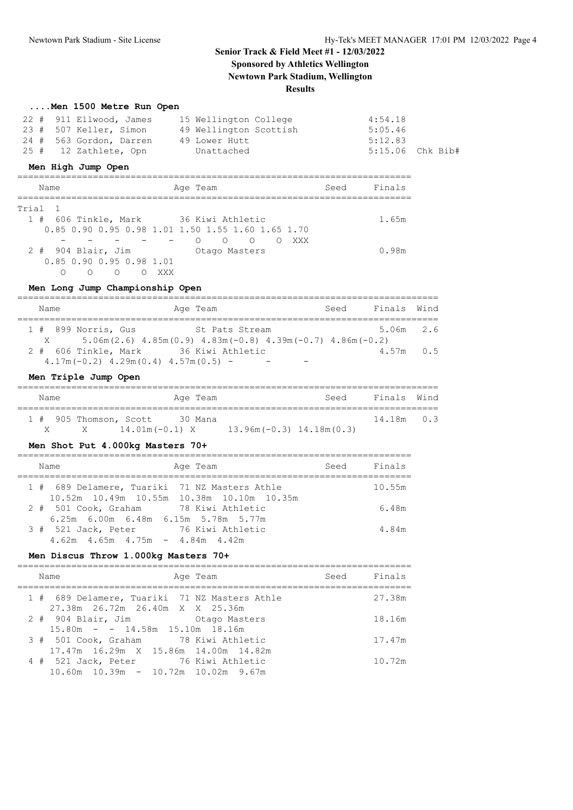### **Senior Track & Field Meet #1 - 12/03/2022 Sponsored by Athletics Wellington Newtown Park Stadium, Wellington**

#### **Results**

| Men 1500 Metre Run Open |  |  |  |  |  |
|-------------------------|--|--|--|--|--|
|-------------------------|--|--|--|--|--|

| 22 # 911 Ellwood, James | 15 Wellington College  | 4:54.18          |
|-------------------------|------------------------|------------------|
| 23 # 507 Keller, Simon  | 49 Wellington Scottish | 5:05.46          |
| 24 # 563 Gordon, Darren | 49 Lower Hutt          | 5:12.83          |
| 25 # 12 Zathlete, Opn   | Unattached             | 5:15.06 Chk Bib# |

#### **Men High Jump Open**

| Name                             | Age Team                                          | Seed | Finals |
|----------------------------------|---------------------------------------------------|------|--------|
| Trial 1                          |                                                   |      |        |
|                                  | 1 # 606 Tinkle, Mark 36 Kiwi Athletic             |      | 1.65m  |
|                                  | 0.85 0.90 0.95 0.98 1.01 1.50 1.55 1.60 1.65 1.70 |      |        |
|                                  | $\bigcirc$<br>$\circ$<br>$\circ$<br>∩             | XXX  |        |
| $2$ # $904$ Blair, Jim           | Otago Masters                                     |      | 0.98m  |
| $0.85$ $0.90$ $0.95$ $0.98$ 1.01 |                                                   |      |        |
| ∩<br>∩                           | XXX                                               |      |        |

#### **Men Long Jump Championship Open**

| Name     | Age Team                                                                      | Seed | Finals Wind |  |
|----------|-------------------------------------------------------------------------------|------|-------------|--|
|          |                                                                               |      |             |  |
|          | $1$ # 899 Norris, Gus<br>St. Pats Stream                                      |      | 5.06m 2.6   |  |
| $X \sim$ | $5.06$ m (2.6) $4.85$ m (0.9) $4.83$ m (-0.8) $4.39$ m (-0.7) $4.86$ m (-0.2) |      |             |  |
|          | 2 # 606 Tinkle, Mark 36 Kiwi Athletic                                         |      | $4.57m$ 0.5 |  |
|          | $4.17m(-0.2)$ $4.29m(0.4)$ $4.57m(0.5)$ -                                     |      |             |  |

#### **Men Triple Jump Open**

| Name |                        |                  | Age Team |                              | Seed | Finals Wind  |  |
|------|------------------------|------------------|----------|------------------------------|------|--------------|--|
|      | 1 # 905 Thomson, Scott |                  | 30 Mana  |                              |      | $14.18m$ 0.3 |  |
| X.   | X                      | $14.01m(-0.1)$ X |          | $13.96m(-0.3)$ $14.18m(0.3)$ |      |              |  |

#### **Men Shot Put 4.000kg Masters 70+**

| Name                                                                                       | Age Team | Seed | Finals |
|--------------------------------------------------------------------------------------------|----------|------|--------|
| 1 # 689 Delamere, Tuariki 71 NZ Masters Athle<br>10.52m 10.49m 10.55m 10.38m 10.10m 10.35m |          |      | 10.55m |
| 2 # 501 Cook, Graham 78 Kiwi Athletic<br>$6.25m$ 6.00m 6.48m 6.15m 5.78m 5.77m             |          |      | 6.48m  |
| 3 # 521 Jack, Peter 76 Kiwi Athletic<br>$4.62m$ $4.65m$ $4.75m$ $ 4.84m$ $4.42m$           |          |      | 4.84m  |

#### **Men Discus Throw 1.000kg Masters 70+**

| Age Team<br>Name                                                                        | Seed Finals |        |
|-----------------------------------------------------------------------------------------|-------------|--------|
| 1 # 689 Delamere, Tuariki 71 NZ Masters Athle<br>27.38m 26.72m 26.40m X X 25.36m        |             | 27.38m |
| 2 # 904 Blair, Jim Chaqo Masters<br>$15.80m - - 14.58m$ 15.10m 18.16m                   |             | 18.16m |
| 3 # 501 Cook, Graham 78 Kiwi Athletic<br>17.47m 16.29m X 15.86m 14.00m 14.82m           |             | 17.47m |
| 4 # 521 Jack, Peter 76 Kiwi Athletic<br>$10.60$ m $10.39$ m - $10.72$ m $10.02$ m 9.67m |             | 10.72m |